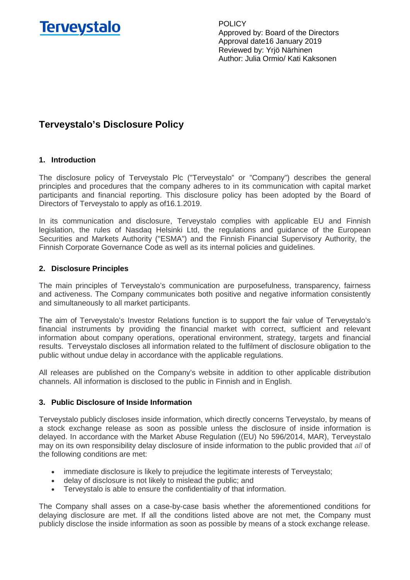

# **Terveystalo's Disclosure Policy**

## **1. Introduction**

The disclosure policy of Terveystalo Plc ("Terveystalo" or "Company") describes the general principles and procedures that the company adheres to in its communication with capital market participants and financial reporting. This disclosure policy has been adopted by the Board of Directors of Terveystalo to apply as of16.1.2019.

In its communication and disclosure, Terveystalo complies with applicable EU and Finnish legislation, the rules of Nasdaq Helsinki Ltd, the regulations and guidance of the European Securities and Markets Authority ("ESMA") and the Finnish Financial Supervisory Authority, the Finnish Corporate Governance Code as well as its internal policies and guidelines.

## **2. Disclosure Principles**

The main principles of Terveystalo's communication are purposefulness, transparency, fairness and activeness. The Company communicates both positive and negative information consistently and simultaneously to all market participants.

The aim of Terveystalo's Investor Relations function is to support the fair value of Terveystalo's financial instruments by providing the financial market with correct, sufficient and relevant information about company operations, operational environment, strategy, targets and financial results. Terveystalo discloses all information related to the fulfilment of disclosure obligation to the public without undue delay in accordance with the applicable regulations.

All releases are published on the Company's website in addition to other applicable distribution channels. All information is disclosed to the public in Finnish and in English.

#### **3. Public Disclosure of Inside Information**

Terveystalo publicly discloses inside information, which directly concerns Terveystalo, by means of a stock exchange release as soon as possible unless the disclosure of inside information is delayed. In accordance with the Market Abuse Regulation ((EU) No 596/2014, MAR), Terveystalo may on its own responsibility delay disclosure of inside information to the public provided that *all* of the following conditions are met:

- immediate disclosure is likely to prejudice the legitimate interests of Terveystalo;
- delay of disclosure is not likely to mislead the public; and
- Terveystalo is able to ensure the confidentiality of that information.

The Company shall asses on a case-by-case basis whether the aforementioned conditions for delaying disclosure are met. If all the conditions listed above are not met, the Company must publicly disclose the inside information as soon as possible by means of a stock exchange release.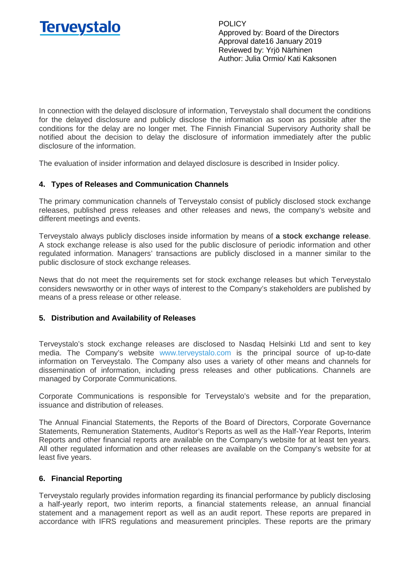

In connection with the delayed disclosure of information, Terveystalo shall document the conditions for the delayed disclosure and publicly disclose the information as soon as possible after the conditions for the delay are no longer met. The Finnish Financial Supervisory Authority shall be notified about the decision to delay the disclosure of information immediately after the public disclosure of the information.

The evaluation of insider information and delayed disclosure is described in Insider policy.

# **4. Types of Releases and Communication Channels**

The primary communication channels of Terveystalo consist of publicly disclosed stock exchange releases, published press releases and other releases and news, the company's website and different meetings and events.

Terveystalo always publicly discloses inside information by means of **a stock exchange release**. A stock exchange release is also used for the public disclosure of periodic information and other regulated information. Managers' transactions are publicly disclosed in a manner similar to the public disclosure of stock exchange releases.

News that do not meet the requirements set for stock exchange releases but which Terveystalo considers newsworthy or in other ways of interest to the Company's stakeholders are published by means of a press release or other release.

# **5. Distribution and Availability of Releases**

Terveystalo's stock exchange releases are disclosed to Nasdaq Helsinki Ltd and sent to key media. The Company's website [www.terveystalo.com](http://www.terveystalo.com/) is the principal source of up-to-date information on Terveystalo. The Company also uses a variety of other means and channels for dissemination of information, including press releases and other publications. Channels are managed by Corporate Communications.

Corporate Communications is responsible for Terveystalo's website and for the preparation, issuance and distribution of releases.

The Annual Financial Statements, the Reports of the Board of Directors, Corporate Governance Statements, Remuneration Statements, Auditor's Reports as well as the Half-Year Reports, Interim Reports and other financial reports are available on the Company's website for at least ten years. All other regulated information and other releases are available on the Company's website for at least five years.

# **6. Financial Reporting**

Terveystalo regularly provides information regarding its financial performance by publicly disclosing a half-yearly report, two interim reports, a financial statements release, an annual financial statement and a management report as well as an audit report. These reports are prepared in accordance with IFRS regulations and measurement principles. These reports are the primary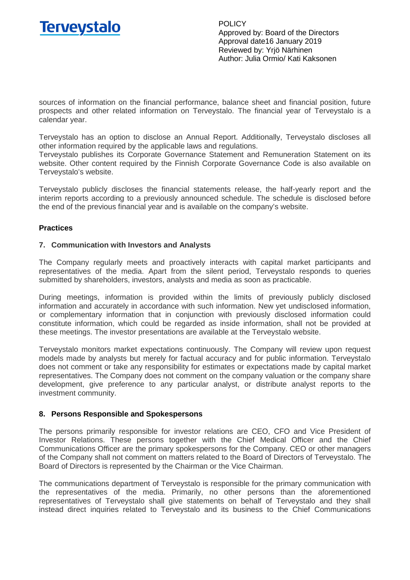

sources of information on the financial performance, balance sheet and financial position, future prospects and other related information on Terveystalo. The financial year of Terveystalo is a calendar year.

Terveystalo has an option to disclose an Annual Report. Additionally, Terveystalo discloses all other information required by the applicable laws and regulations.

Terveystalo publishes its Corporate Governance Statement and Remuneration Statement on its website. Other content required by the Finnish Corporate Governance Code is also available on Terveystalo's website.

Terveystalo publicly discloses the financial statements release, the half-yearly report and the interim reports according to a previously announced schedule. The schedule is disclosed before the end of the previous financial year and is available on the company's website.

## **Practices**

#### **7. Communication with Investors and Analysts**

The Company regularly meets and proactively interacts with capital market participants and representatives of the media. Apart from the silent period, Terveystalo responds to queries submitted by shareholders, investors, analysts and media as soon as practicable.

During meetings, information is provided within the limits of previously publicly disclosed information and accurately in accordance with such information. New yet undisclosed information, or complementary information that in conjunction with previously disclosed information could constitute information, which could be regarded as inside information, shall not be provided at these meetings. The investor presentations are available at the Terveystalo website.

Terveystalo monitors market expectations continuously. The Company will review upon request models made by analysts but merely for factual accuracy and for public information. Terveystalo does not comment or take any responsibility for estimates or expectations made by capital market representatives. The Company does not comment on the company valuation or the company share development, give preference to any particular analyst, or distribute analyst reports to the investment community.

#### **8. Persons Responsible and Spokespersons**

The persons primarily responsible for investor relations are CEO, CFO and Vice President of Investor Relations. These persons together with the Chief Medical Officer and the Chief Communications Officer are the primary spokespersons for the Company. CEO or other managers of the Company shall not comment on matters related to the Board of Directors of Terveystalo. The Board of Directors is represented by the Chairman or the Vice Chairman.

The communications department of Terveystalo is responsible for the primary communication with the representatives of the media. Primarily, no other persons than the aforementioned representatives of Terveystalo shall give statements on behalf of Terveystalo and they shall instead direct inquiries related to Terveystalo and its business to the Chief Communications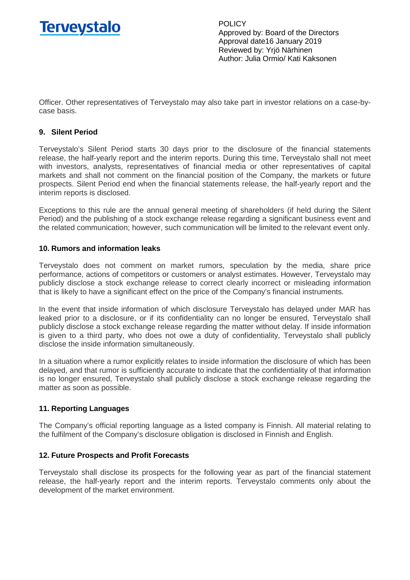

Officer. Other representatives of Terveystalo may also take part in investor relations on a case-bycase basis.

# **9. Silent Period**

Terveystalo's Silent Period starts 30 days prior to the disclosure of the financial statements release, the half-yearly report and the interim reports. During this time, Terveystalo shall not meet with investors, analysts, representatives of financial media or other representatives of capital markets and shall not comment on the financial position of the Company, the markets or future prospects. Silent Period end when the financial statements release, the half-yearly report and the interim reports is disclosed.

Exceptions to this rule are the annual general meeting of shareholders (if held during the Silent Period) and the publishing of a stock exchange release regarding a significant business event and the related communication; however, such communication will be limited to the relevant event only.

## **10. Rumors and information leaks**

Terveystalo does not comment on market rumors, speculation by the media, share price performance, actions of competitors or customers or analyst estimates. However, Terveystalo may publicly disclose a stock exchange release to correct clearly incorrect or misleading information that is likely to have a significant effect on the price of the Company's financial instruments.

In the event that inside information of which disclosure Terveystalo has delayed under MAR has leaked prior to a disclosure, or if its confidentiality can no longer be ensured, Terveystalo shall publicly disclose a stock exchange release regarding the matter without delay. If inside information is given to a third party, who does not owe a duty of confidentiality, Terveystalo shall publicly disclose the inside information simultaneously.

In a situation where a rumor explicitly relates to inside information the disclosure of which has been delayed, and that rumor is sufficiently accurate to indicate that the confidentiality of that information is no longer ensured, Terveystalo shall publicly disclose a stock exchange release regarding the matter as soon as possible.

# **11. Reporting Languages**

The Company's official reporting language as a listed company is Finnish. All material relating to the fulfilment of the Company's disclosure obligation is disclosed in Finnish and English.

# **12. Future Prospects and Profit Forecasts**

Terveystalo shall disclose its prospects for the following year as part of the financial statement release, the half-yearly report and the interim reports. Terveystalo comments only about the development of the market environment.